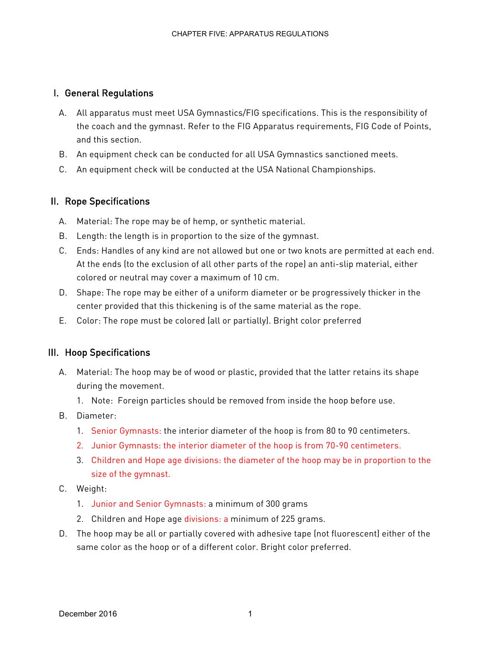# I. General Regulations

- A. All apparatus must meet USA Gymnastics/FIG specifications. This is the responsibility of the coach and the gymnast. Refer to the FIG Apparatus requirements, FIG Code of Points, and this section.
- B. An equipment check can be conducted for all USA Gymnastics sanctioned meets.
- C. An equipment check will be conducted at the USA National Championships.

# II. Rope Specifications

- A. Material: The rope may be of hemp, or synthetic material.
- B. Length: the length is in proportion to the size of the gymnast.
- C. Ends: Handles of any kind are not allowed but one or two knots are permitted at each end. At the ends (to the exclusion of all other parts of the rope) an anti-slip material, either colored or neutral may cover a maximum of 10 cm.
- D. Shape: The rope may be either of a uniform diameter or be progressively thicker in the center provided that this thickening is of the same material as the rope.
- E. Color: The rope must be colored (all or partially). Bright color preferred

### III. Hoop Specifications

- A. Material: The hoop may be of wood or plastic, provided that the latter retains its shape during the movement.
	- 1. Note: Foreign particles should be removed from inside the hoop before use.
- B. Diameter:
	- 1. Senior Gymnasts: the interior diameter of the hoop is from 80 to 90 centimeters.
	- 2. Junior Gymnasts: the interior diameter of the hoop is from 70-90 centimeters.
	- 3. Children and Hope age divisions: the diameter of the hoop may be in proportion to the size of the gymnast.
- C. Weight:
	- 1. Junior and Senior Gymnasts: a minimum of 300 grams
	- 2. Children and Hope age divisions: a minimum of 225 grams.
- D. The hoop may be all or partially covered with adhesive tape (not fluorescent) either of the same color as the hoop or of a different color. Bright color preferred.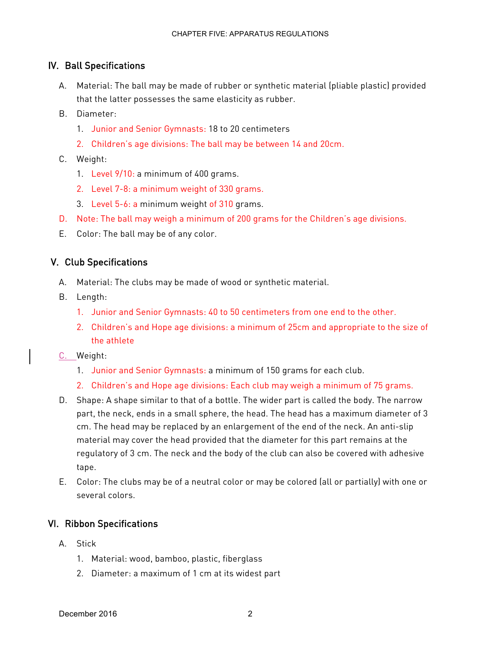# IV. Ball Specifications

- A. Material: The ball may be made of rubber or synthetic material (pliable plastic) provided that the latter possesses the same elasticity as rubber.
- B. Diameter:
	- 1. Junior and Senior Gymnasts: 18 to 20 centimeters
	- 2. Children's age divisions: The ball may be between 14 and 20cm.
- C. Weight:
	- 1. Level 9/10: a minimum of 400 grams.
	- 2. Level 7-8: a minimum weight of 330 grams.
	- 3. Level 5-6: a minimum weight of 310 grams.
- D. Note: The ball may weigh a minimum of 200 grams for the Children's age divisions.
- E. Color: The ball may be of any color.

### V. Club Specifications

- A. Material: The clubs may be made of wood or synthetic material.
- B. Length:
	- 1. Junior and Senior Gymnasts: 40 to 50 centimeters from one end to the other.
	- 2. Children's and Hope age divisions: a minimum of 25cm and appropriate to the size of the athlete
- C. Weight:
	- 1. Junior and Senior Gymnasts: a minimum of 150 grams for each club.
	- 2. Children's and Hope age divisions: Each club may weigh a minimum of 75 grams.
- D. Shape: A shape similar to that of a bottle. The wider part is called the body. The narrow part, the neck, ends in a small sphere, the head. The head has a maximum diameter of 3 cm. The head may be replaced by an enlargement of the end of the neck. An anti-slip material may cover the head provided that the diameter for this part remains at the regulatory of 3 cm. The neck and the body of the club can also be covered with adhesive tape.
- E. Color: The clubs may be of a neutral color or may be colored (all or partially) with one or several colors.

### VI. Ribbon Specifications

- A. Stick
	- 1. Material: wood, bamboo, plastic, fiberglass
	- 2. Diameter: a maximum of 1 cm at its widest part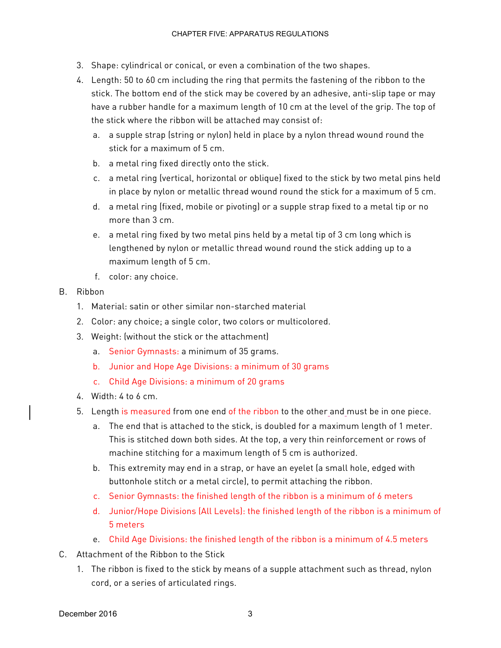- 3. Shape: cylindrical or conical, or even a combination of the two shapes.
- 4. Length: 50 to 60 cm including the ring that permits the fastening of the ribbon to the stick. The bottom end of the stick may be covered by an adhesive, anti-slip tape or may have a rubber handle for a maximum length of 10 cm at the level of the grip. The top of the stick where the ribbon will be attached may consist of:
	- a. a supple strap (string or nylon) held in place by a nylon thread wound round the stick for a maximum of 5 cm.
	- b. a metal ring fixed directly onto the stick.
	- c. a metal ring (vertical, horizontal or oblique) fixed to the stick by two metal pins held in place by nylon or metallic thread wound round the stick for a maximum of 5 cm.
	- d. a metal ring (fixed, mobile or pivoting) or a supple strap fixed to a metal tip or no more than 3 cm.
	- e. a metal ring fixed by two metal pins held by a metal tip of 3 cm long which is lengthened by nylon or metallic thread wound round the stick adding up to a maximum length of 5 cm.
	- f. color: any choice.

#### B. Ribbon

- 1. Material: satin or other similar non-starched material
- 2. Color: any choice; a single color, two colors or multicolored.
- 3. Weight: (without the stick or the attachment)
	- a. Senior Gymnasts: a minimum of 35 grams.
	- b. Junior and Hope Age Divisions: a minimum of 30 grams
	- c. Child Age Divisions: a minimum of 20 grams
- 4. Width: 4 to 6 cm.
- 5. Length is measured from one end of the ribbon to the other and must be in one piece.
	- a. The end that is attached to the stick, is doubled for a maximum length of 1 meter. This is stitched down both sides. At the top, a very thin reinforcement or rows of machine stitching for a maximum length of 5 cm is authorized.
	- b. This extremity may end in a strap, or have an eyelet (a small hole, edged with buttonhole stitch or a metal circle), to permit attaching the ribbon.
	- c. Senior Gymnasts: the finished length of the ribbon is a minimum of 6 meters
	- d. Junior/Hope Divisions (All Levels): the finished length of the ribbon is a minimum of 5 meters
	- e. Child Age Divisions: the finished length of the ribbon is a minimum of 4.5 meters
- C. Attachment of the Ribbon to the Stick
	- 1. The ribbon is fixed to the stick by means of a supple attachment such as thread, nylon cord, or a series of articulated rings.